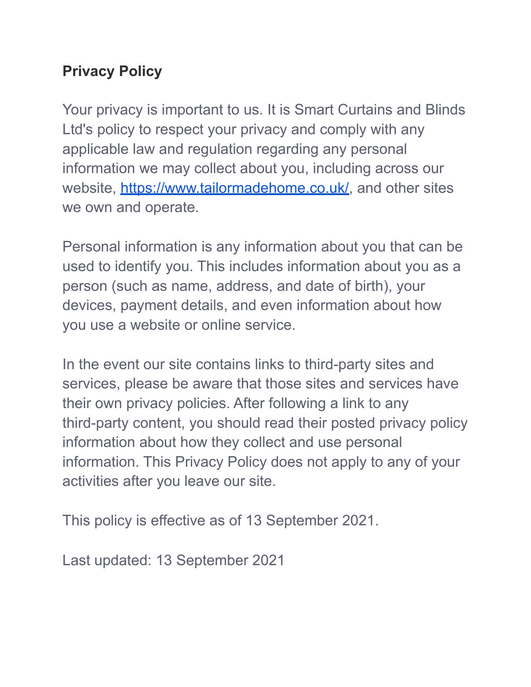# **Privacy Policy**

Your privacy is important to us. It is Smart Curtains and Blinds Ltd's policy to respect your privacy and comply with any applicable law and regulation regarding any personal information we may collect about you, including across our website, [https://www.tailormadehome.co.uk/,](https://www.tailormadehome.co.uk/) and other sites we own and operate.

Personal information is any information about you that can be used to identify you. This includes information about you as a person (such as name, address, and date of birth), your devices, payment details, and even information about how you use a website or online service.

In the event our site contains links to third-party sites and services, please be aware that those sites and services have their own privacy policies. After following a link to any third-party content, you should read their posted privacy policy information about how they collect and use personal information. This Privacy Policy does not apply to any of your activities after you leave our site.

This policy is effective as of 13 September 2021.

Last updated: 13 September 2021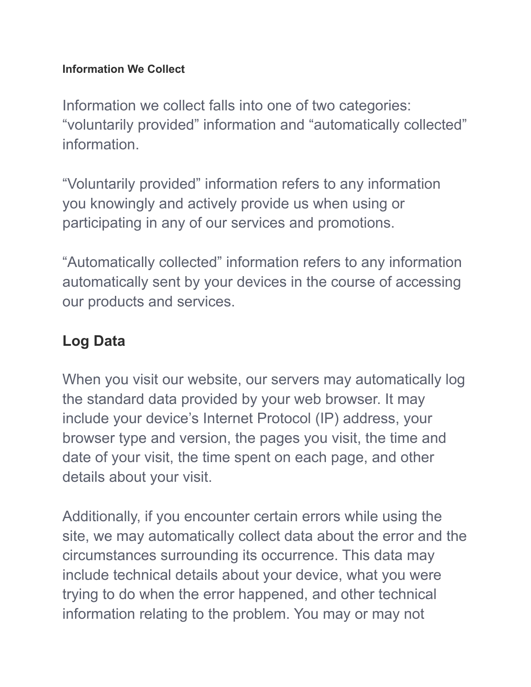#### **Information We Collect**

Information we collect falls into one of two categories: "voluntarily provided" information and "automatically collected" information.

"Voluntarily provided" information refers to any information you knowingly and actively provide us when using or participating in any of our services and promotions.

"Automatically collected" information refers to any information automatically sent by your devices in the course of accessing our products and services.

# **Log Data**

When you visit our website, our servers may automatically log the standard data provided by your web browser. It may include your device's Internet Protocol (IP) address, your browser type and version, the pages you visit, the time and date of your visit, the time spent on each page, and other details about your visit.

Additionally, if you encounter certain errors while using the site, we may automatically collect data about the error and the circumstances surrounding its occurrence. This data may include technical details about your device, what you were trying to do when the error happened, and other technical information relating to the problem. You may or may not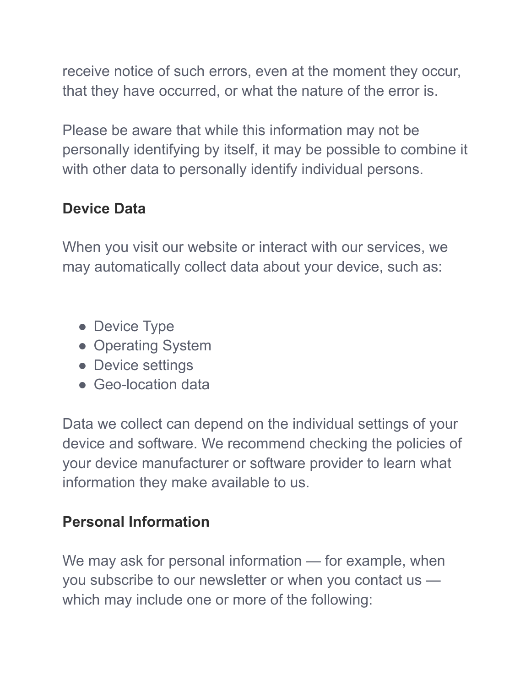receive notice of such errors, even at the moment they occur, that they have occurred, or what the nature of the error is.

Please be aware that while this information may not be personally identifying by itself, it may be possible to combine it with other data to personally identify individual persons.

# **Device Data**

When you visit our website or interact with our services, we may automatically collect data about your device, such as:

- Device Type
- Operating System
- Device settings
- Geo-location data

Data we collect can depend on the individual settings of your device and software. We recommend checking the policies of your device manufacturer or software provider to learn what information they make available to us.

### **Personal Information**

We may ask for personal information — for example, when you subscribe to our newsletter or when you contact us which may include one or more of the following: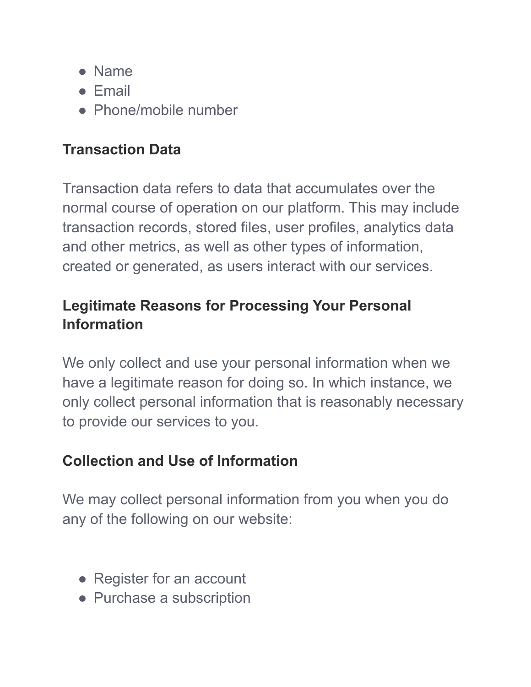- Name
- Email
- Phone/mobile number

## **Transaction Data**

Transaction data refers to data that accumulates over the normal course of operation on our platform. This may include transaction records, stored files, user profiles, analytics data and other metrics, as well as other types of information, created or generated, as users interact with our services.

## **Legitimate Reasons for Processing Your Personal Information**

We only collect and use your personal information when we have a legitimate reason for doing so. In which instance, we only collect personal information that is reasonably necessary to provide our services to you.

# **Collection and Use of Information**

We may collect personal information from you when you do any of the following on our website:

- Register for an account
- Purchase a subscription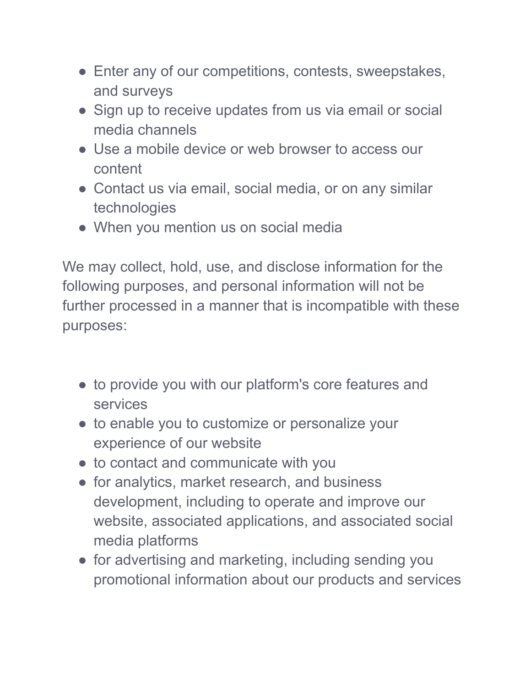- Enter any of our competitions, contests, sweepstakes, and surveys
- Sign up to receive updates from us via email or social media channels
- Use a mobile device or web browser to access our content
- Contact us via email, social media, or on any similar technologies
- When you mention us on social media

We may collect, hold, use, and disclose information for the following purposes, and personal information will not be further processed in a manner that is incompatible with these purposes:

- to provide you with our platform's core features and services
- to enable you to customize or personalize your experience of our website
- to contact and communicate with you
- for analytics, market research, and business development, including to operate and improve our website, associated applications, and associated social media platforms
- for advertising and marketing, including sending you promotional information about our products and services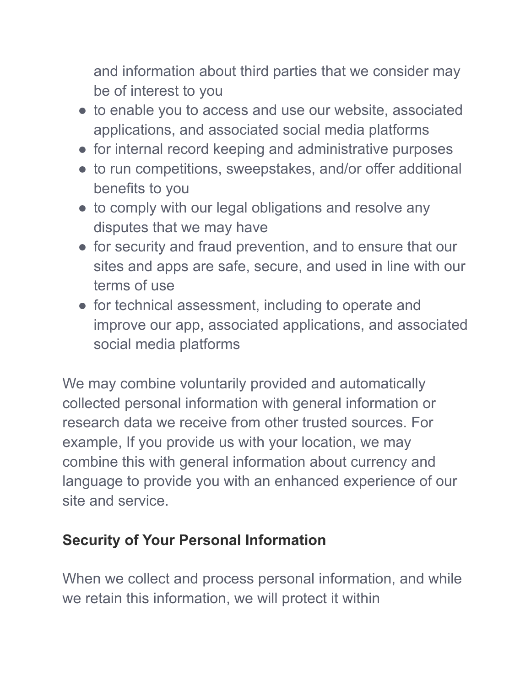and information about third parties that we consider may be of interest to you

- to enable you to access and use our website, associated applications, and associated social media platforms
- for internal record keeping and administrative purposes
- to run competitions, sweepstakes, and/or offer additional benefits to you
- to comply with our legal obligations and resolve any disputes that we may have
- for security and fraud prevention, and to ensure that our sites and apps are safe, secure, and used in line with our terms of use
- for technical assessment, including to operate and improve our app, associated applications, and associated social media platforms

We may combine voluntarily provided and automatically collected personal information with general information or research data we receive from other trusted sources. For example, If you provide us with your location, we may combine this with general information about currency and language to provide you with an enhanced experience of our site and service.

# **Security of Your Personal Information**

When we collect and process personal information, and while we retain this information, we will protect it within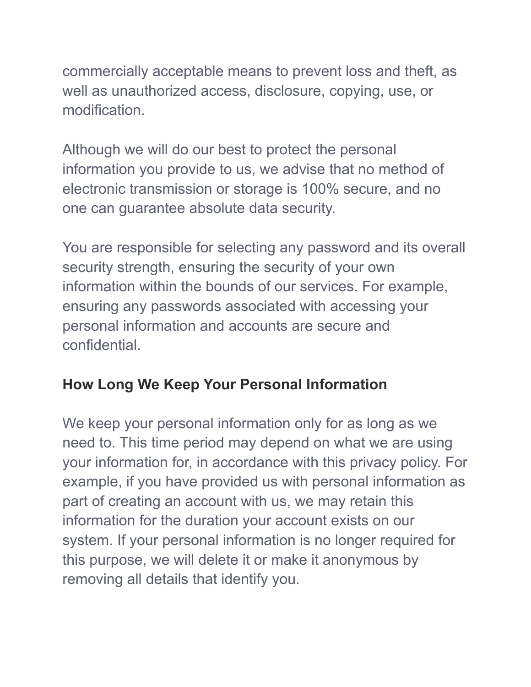commercially acceptable means to prevent loss and theft, as well as unauthorized access, disclosure, copying, use, or modification.

Although we will do our best to protect the personal information you provide to us, we advise that no method of electronic transmission or storage is 100% secure, and no one can guarantee absolute data security.

You are responsible for selecting any password and its overall security strength, ensuring the security of your own information within the bounds of our services. For example, ensuring any passwords associated with accessing your personal information and accounts are secure and confidential.

# **How Long We Keep Your Personal Information**

We keep your personal information only for as long as we need to. This time period may depend on what we are using your information for, in accordance with this privacy policy. For example, if you have provided us with personal information as part of creating an account with us, we may retain this information for the duration your account exists on our system. If your personal information is no longer required for this purpose, we will delete it or make it anonymous by removing all details that identify you.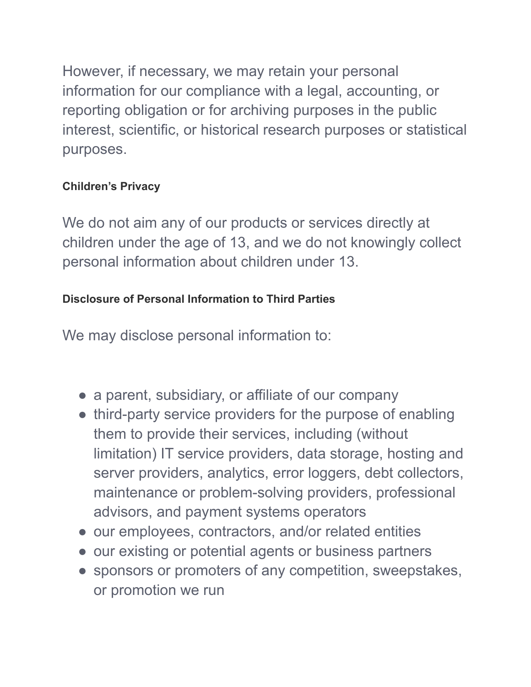However, if necessary, we may retain your personal information for our compliance with a legal, accounting, or reporting obligation or for archiving purposes in the public interest, scientific, or historical research purposes or statistical purposes.

#### **Children's Privacy**

We do not aim any of our products or services directly at children under the age of 13, and we do not knowingly collect personal information about children under 13.

#### **Disclosure of Personal Information to Third Parties**

We may disclose personal information to:

- a parent, subsidiary, or affiliate of our company
- third-party service providers for the purpose of enabling them to provide their services, including (without limitation) IT service providers, data storage, hosting and server providers, analytics, error loggers, debt collectors, maintenance or problem-solving providers, professional advisors, and payment systems operators
- our employees, contractors, and/or related entities
- our existing or potential agents or business partners
- sponsors or promoters of any competition, sweepstakes, or promotion we run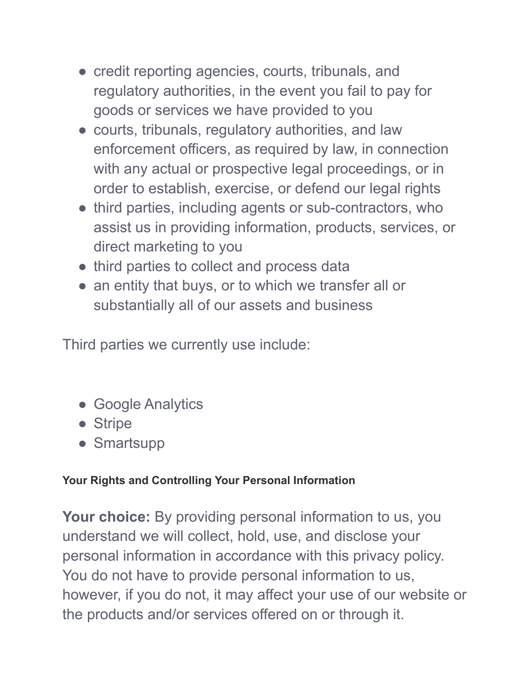- credit reporting agencies, courts, tribunals, and regulatory authorities, in the event you fail to pay for goods or services we have provided to you
- courts, tribunals, regulatory authorities, and law enforcement officers, as required by law, in connection with any actual or prospective legal proceedings, or in order to establish, exercise, or defend our legal rights
- third parties, including agents or sub-contractors, who assist us in providing information, products, services, or direct marketing to you
- third parties to collect and process data
- an entity that buys, or to which we transfer all or substantially all of our assets and business

Third parties we currently use include:

- Google Analytics
- Stripe
- Smartsupp

#### **Your Rights and Controlling Your Personal Information**

**Your choice:** By providing personal information to us, you understand we will collect, hold, use, and disclose your personal information in accordance with this privacy policy. You do not have to provide personal information to us, however, if you do not, it may affect your use of our website or the products and/or services offered on or through it.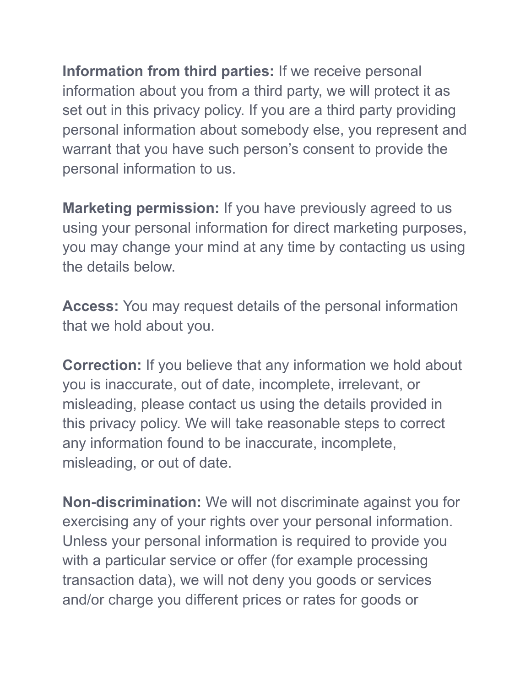**Information from third parties:** If we receive personal information about you from a third party, we will protect it as set out in this privacy policy. If you are a third party providing personal information about somebody else, you represent and warrant that you have such person's consent to provide the personal information to us.

**Marketing permission:** If you have previously agreed to us using your personal information for direct marketing purposes, you may change your mind at any time by contacting us using the details below.

**Access:** You may request details of the personal information that we hold about you.

**Correction:** If you believe that any information we hold about you is inaccurate, out of date, incomplete, irrelevant, or misleading, please contact us using the details provided in this privacy policy. We will take reasonable steps to correct any information found to be inaccurate, incomplete, misleading, or out of date.

**Non-discrimination:** We will not discriminate against you for exercising any of your rights over your personal information. Unless your personal information is required to provide you with a particular service or offer (for example processing transaction data), we will not deny you goods or services and/or charge you different prices or rates for goods or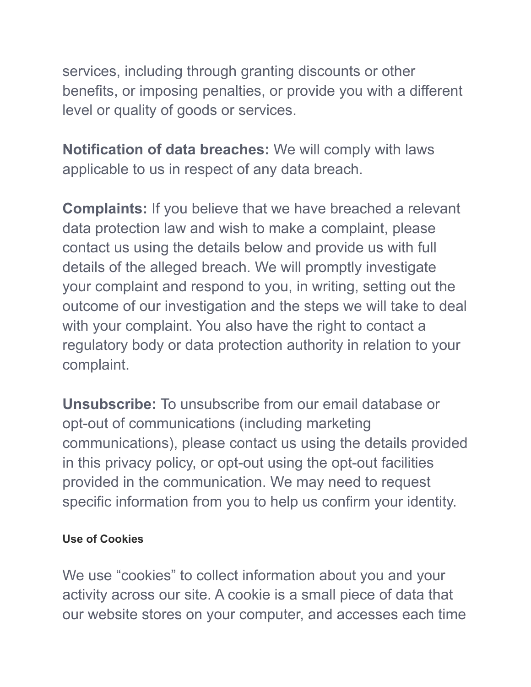services, including through granting discounts or other benefits, or imposing penalties, or provide you with a different level or quality of goods or services.

**Notification of data breaches:** We will comply with laws applicable to us in respect of any data breach.

**Complaints:** If you believe that we have breached a relevant data protection law and wish to make a complaint, please contact us using the details below and provide us with full details of the alleged breach. We will promptly investigate your complaint and respond to you, in writing, setting out the outcome of our investigation and the steps we will take to deal with your complaint. You also have the right to contact a regulatory body or data protection authority in relation to your complaint.

**Unsubscribe:** To unsubscribe from our email database or opt-out of communications (including marketing communications), please contact us using the details provided in this privacy policy, or opt-out using the opt-out facilities provided in the communication. We may need to request specific information from you to help us confirm your identity.

#### **Use of Cookies**

We use "cookies" to collect information about you and your activity across our site. A cookie is a small piece of data that our website stores on your computer, and accesses each time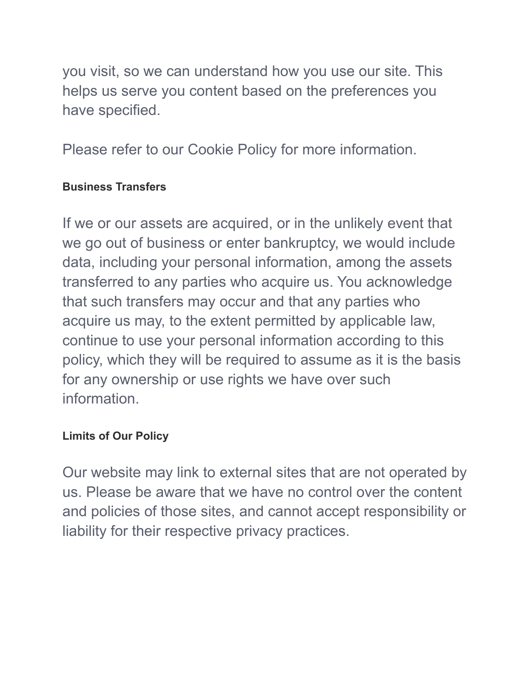you visit, so we can understand how you use our site. This helps us serve you content based on the preferences you have specified.

Please refer to our Cookie Policy for more information.

#### **Business Transfers**

If we or our assets are acquired, or in the unlikely event that we go out of business or enter bankruptcy, we would include data, including your personal information, among the assets transferred to any parties who acquire us. You acknowledge that such transfers may occur and that any parties who acquire us may, to the extent permitted by applicable law, continue to use your personal information according to this policy, which they will be required to assume as it is the basis for any ownership or use rights we have over such information.

#### **Limits of Our Policy**

Our website may link to external sites that are not operated by us. Please be aware that we have no control over the content and policies of those sites, and cannot accept responsibility or liability for their respective privacy practices.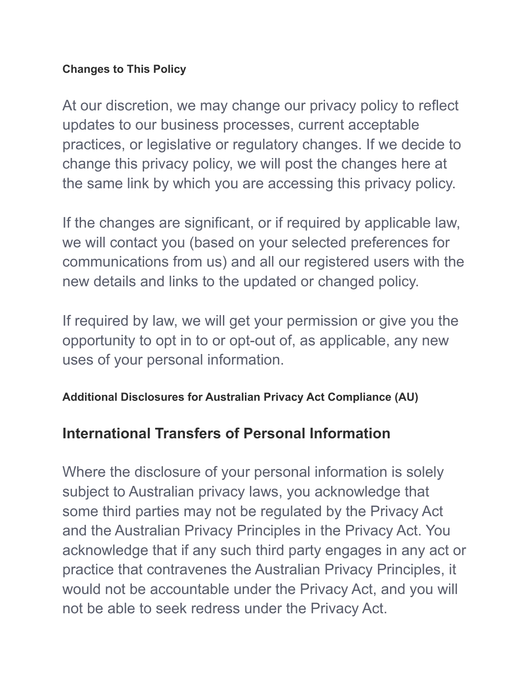#### **Changes to This Policy**

At our discretion, we may change our privacy policy to reflect updates to our business processes, current acceptable practices, or legislative or regulatory changes. If we decide to change this privacy policy, we will post the changes here at the same link by which you are accessing this privacy policy.

If the changes are significant, or if required by applicable law, we will contact you (based on your selected preferences for communications from us) and all our registered users with the new details and links to the updated or changed policy.

If required by law, we will get your permission or give you the opportunity to opt in to or opt-out of, as applicable, any new uses of your personal information.

#### **Additional Disclosures for Australian Privacy Act Compliance (AU)**

## **International Transfers of Personal Information**

Where the disclosure of your personal information is solely subject to Australian privacy laws, you acknowledge that some third parties may not be regulated by the Privacy Act and the Australian Privacy Principles in the Privacy Act. You acknowledge that if any such third party engages in any act or practice that contravenes the Australian Privacy Principles, it would not be accountable under the Privacy Act, and you will not be able to seek redress under the Privacy Act.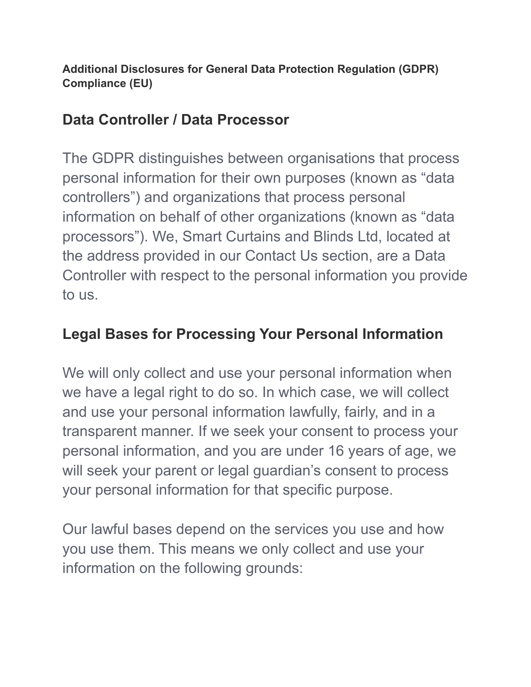**Additional Disclosures for General Data Protection Regulation (GDPR) Compliance (EU)**

## **Data Controller / Data Processor**

The GDPR distinguishes between organisations that process personal information for their own purposes (known as "data controllers") and organizations that process personal information on behalf of other organizations (known as "data processors"). We, Smart Curtains and Blinds Ltd, located at the address provided in our Contact Us section, are a Data Controller with respect to the personal information you provide to us.

## **Legal Bases for Processing Your Personal Information**

We will only collect and use your personal information when we have a legal right to do so. In which case, we will collect and use your personal information lawfully, fairly, and in a transparent manner. If we seek your consent to process your personal information, and you are under 16 years of age, we will seek your parent or legal guardian's consent to process your personal information for that specific purpose.

Our lawful bases depend on the services you use and how you use them. This means we only collect and use your information on the following grounds: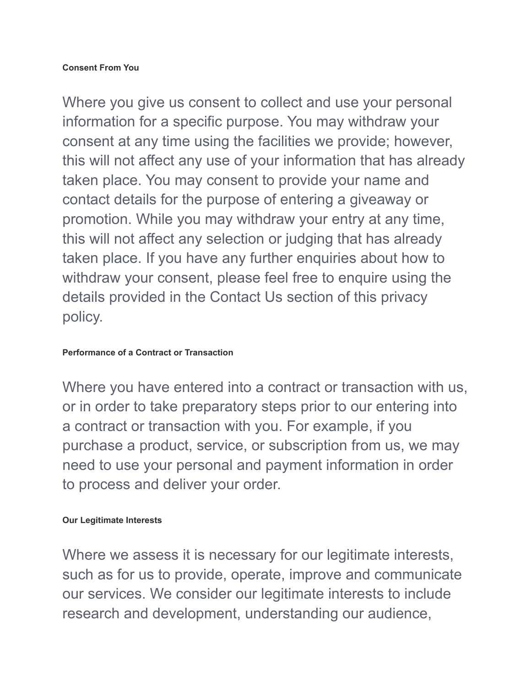Where you give us consent to collect and use your personal information for a specific purpose. You may withdraw your consent at any time using the facilities we provide; however, this will not affect any use of your information that has already taken place. You may consent to provide your name and contact details for the purpose of entering a giveaway or promotion. While you may withdraw your entry at any time, this will not affect any selection or judging that has already taken place. If you have any further enquiries about how to withdraw your consent, please feel free to enquire using the details provided in the Contact Us section of this privacy policy.

#### **Performance of a Contract or Transaction**

Where you have entered into a contract or transaction with us, or in order to take preparatory steps prior to our entering into a contract or transaction with you. For example, if you purchase a product, service, or subscription from us, we may need to use your personal and payment information in order to process and deliver your order.

#### **Our Legitimate Interests**

Where we assess it is necessary for our legitimate interests, such as for us to provide, operate, improve and communicate our services. We consider our legitimate interests to include research and development, understanding our audience,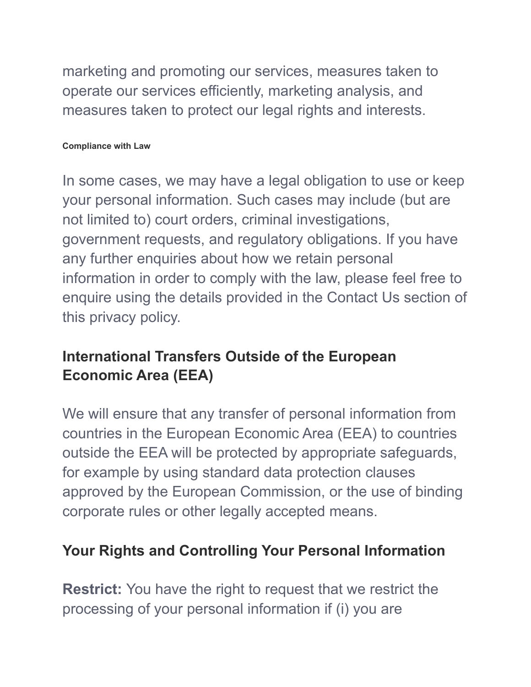marketing and promoting our services, measures taken to operate our services efficiently, marketing analysis, and measures taken to protect our legal rights and interests.

#### **Compliance with Law**

In some cases, we may have a legal obligation to use or keep your personal information. Such cases may include (but are not limited to) court orders, criminal investigations, government requests, and regulatory obligations. If you have any further enquiries about how we retain personal information in order to comply with the law, please feel free to enquire using the details provided in the Contact Us section of this privacy policy.

## **International Transfers Outside of the European Economic Area (EEA)**

We will ensure that any transfer of personal information from countries in the European Economic Area (EEA) to countries outside the EEA will be protected by appropriate safeguards, for example by using standard data protection clauses approved by the European Commission, or the use of binding corporate rules or other legally accepted means.

### **Your Rights and Controlling Your Personal Information**

**Restrict:** You have the right to request that we restrict the processing of your personal information if (i) you are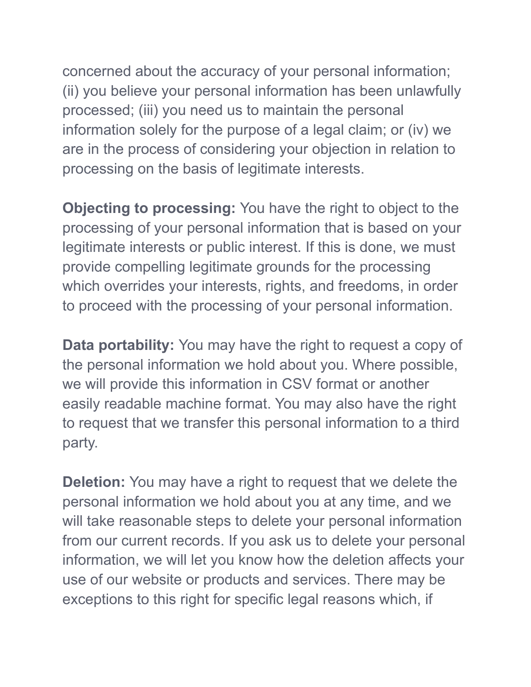concerned about the accuracy of your personal information; (ii) you believe your personal information has been unlawfully processed; (iii) you need us to maintain the personal information solely for the purpose of a legal claim; or (iv) we are in the process of considering your objection in relation to processing on the basis of legitimate interests.

**Objecting to processing:** You have the right to object to the processing of your personal information that is based on your legitimate interests or public interest. If this is done, we must provide compelling legitimate grounds for the processing which overrides your interests, rights, and freedoms, in order to proceed with the processing of your personal information.

**Data portability:** You may have the right to request a copy of the personal information we hold about you. Where possible, we will provide this information in CSV format or another easily readable machine format. You may also have the right to request that we transfer this personal information to a third party.

**Deletion:** You may have a right to request that we delete the personal information we hold about you at any time, and we will take reasonable steps to delete your personal information from our current records. If you ask us to delete your personal information, we will let you know how the deletion affects your use of our website or products and services. There may be exceptions to this right for specific legal reasons which, if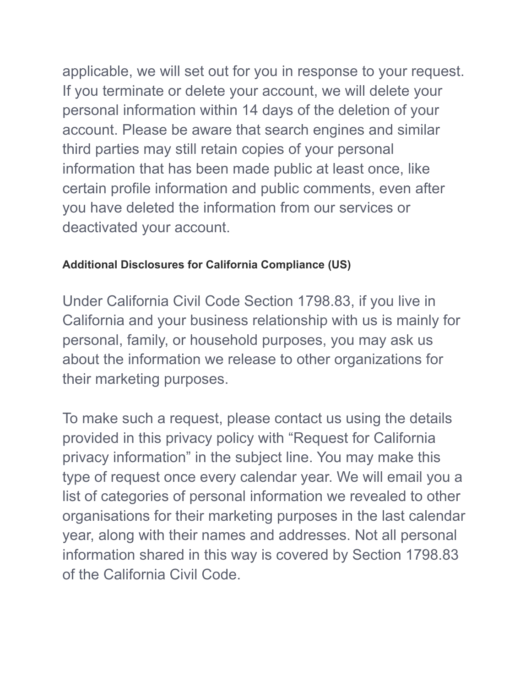applicable, we will set out for you in response to your request. If you terminate or delete your account, we will delete your personal information within 14 days of the deletion of your account. Please be aware that search engines and similar third parties may still retain copies of your personal information that has been made public at least once, like certain profile information and public comments, even after you have deleted the information from our services or deactivated your account.

#### **Additional Disclosures for California Compliance (US)**

Under California Civil Code Section 1798.83, if you live in California and your business relationship with us is mainly for personal, family, or household purposes, you may ask us about the information we release to other organizations for their marketing purposes.

To make such a request, please contact us using the details provided in this privacy policy with "Request for California privacy information" in the subject line. You may make this type of request once every calendar year. We will email you a list of categories of personal information we revealed to other organisations for their marketing purposes in the last calendar year, along with their names and addresses. Not all personal information shared in this way is covered by Section 1798.83 of the California Civil Code.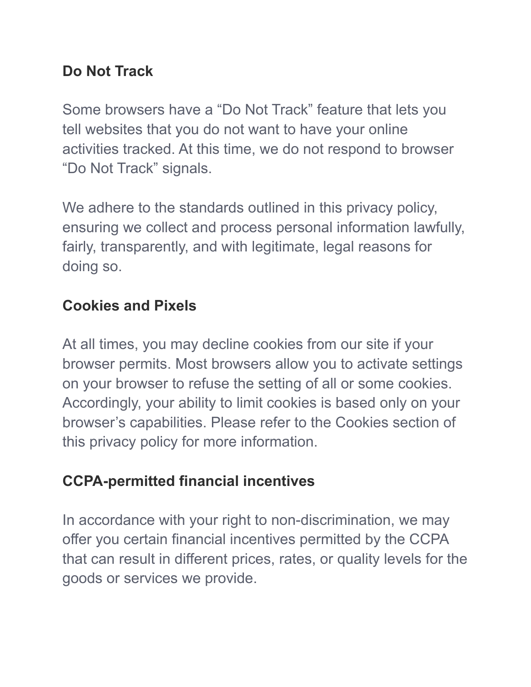## **Do Not Track**

Some browsers have a "Do Not Track" feature that lets you tell websites that you do not want to have your online activities tracked. At this time, we do not respond to browser "Do Not Track" signals.

We adhere to the standards outlined in this privacy policy, ensuring we collect and process personal information lawfully, fairly, transparently, and with legitimate, legal reasons for doing so.

# **Cookies and Pixels**

At all times, you may decline cookies from our site if your browser permits. Most browsers allow you to activate settings on your browser to refuse the setting of all or some cookies. Accordingly, your ability to limit cookies is based only on your browser's capabilities. Please refer to the Cookies section of this privacy policy for more information.

# **CCPA-permitted financial incentives**

In accordance with your right to non-discrimination, we may offer you certain financial incentives permitted by the CCPA that can result in different prices, rates, or quality levels for the goods or services we provide.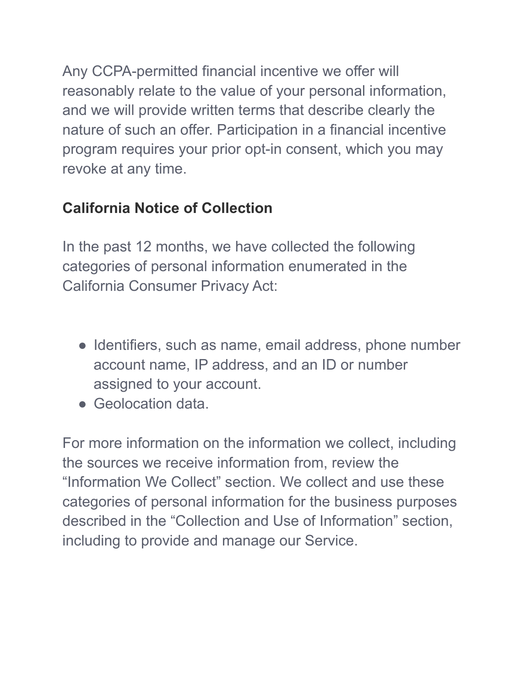Any CCPA-permitted financial incentive we offer will reasonably relate to the value of your personal information, and we will provide written terms that describe clearly the nature of such an offer. Participation in a financial incentive program requires your prior opt-in consent, which you may revoke at any time.

# **California Notice of Collection**

In the past 12 months, we have collected the following categories of personal information enumerated in the California Consumer Privacy Act:

- Identifiers, such as name, email address, phone number account name, IP address, and an ID or number assigned to your account.
- Geolocation data.

For more information on the information we collect, including the sources we receive information from, review the "Information We Collect" section. We collect and use these categories of personal information for the business purposes described in the "Collection and Use of Information" section, including to provide and manage our Service.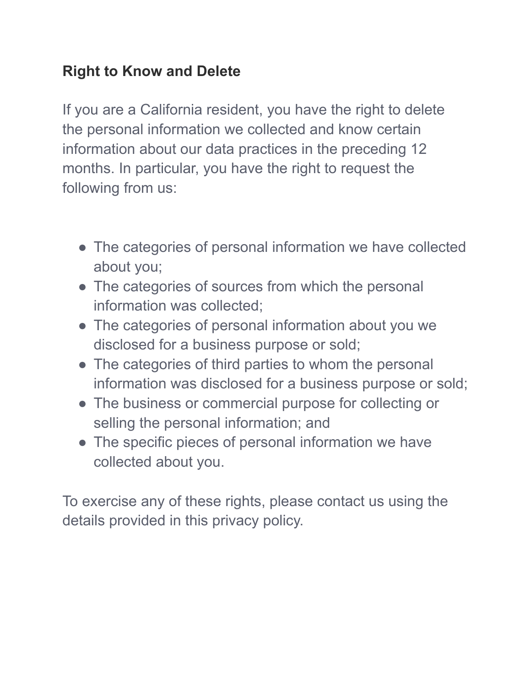## **Right to Know and Delete**

If you are a California resident, you have the right to delete the personal information we collected and know certain information about our data practices in the preceding 12 months. In particular, you have the right to request the following from us:

- The categories of personal information we have collected about you;
- The categories of sources from which the personal information was collected;
- The categories of personal information about you we disclosed for a business purpose or sold;
- The categories of third parties to whom the personal information was disclosed for a business purpose or sold;
- The business or commercial purpose for collecting or selling the personal information; and
- The specific pieces of personal information we have collected about you.

To exercise any of these rights, please contact us using the details provided in this privacy policy.